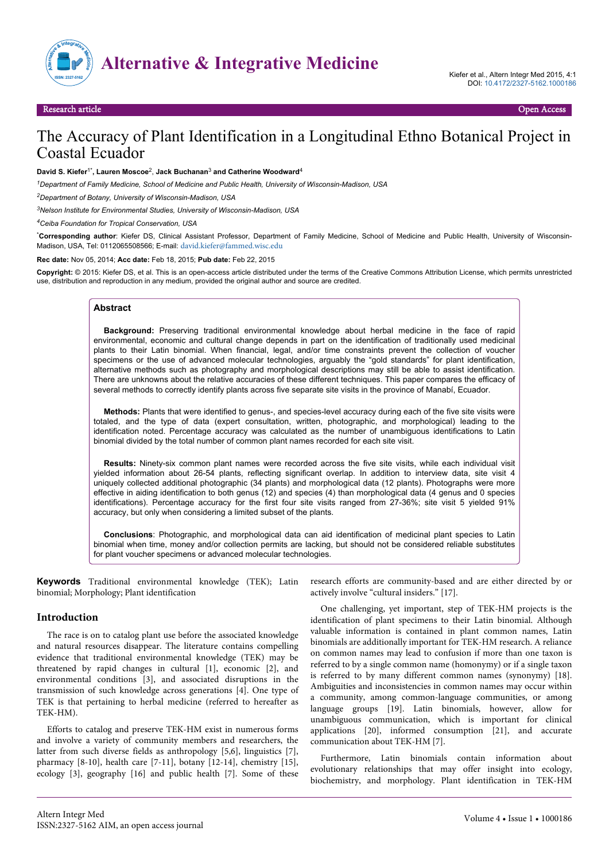

# The Accuracy of Plant Identification in a Longitudinal Ethno Botanical Project in Coastal Ecuador

#### **David S. Kiefer**1\***, Lauren Moscoe**<sup>2</sup> , **Jack Buchanan**<sup>3</sup>  **and Catherine Woodward**<sup>4</sup>

*<sup>1</sup>Department of Family Medicine, School of Medicine and Public Health, University of Wisconsin-Madison, USA*

*<sup>2</sup>Department of Botany, University of Wisconsin-Madison, USA*

*<sup>3</sup>Nelson Institute for Environmental Studies, University of Wisconsin-Madison, USA*

*<sup>4</sup>Ceiba Foundation for Tropical Conservation, USA*

\***Corresponding author**: Kiefer DS, Clinical Assistant Professor, Department of Family Medicine, School of Medicine and Public Health, University of Wisconsin-Madison, USA, Tel: 0112065508566; E-mail: [david.kiefer@fammed.wisc.edu](mailto:david.kiefer@fammed.wisc.edu)

**Rec date:** Nov 05, 2014; **Acc date:** Feb 18, 2015; **Pub date:** Feb 22, 2015

**Copyright:** © 2015: Kiefer DS, et al. This is an open-access article distributed under the terms of the Creative Commons Attribution License, which permits unrestricted use, distribution and reproduction in any medium, provided the original author and source are credited.

#### **Abstract**

**Background:** Preserving traditional environmental knowledge about herbal medicine in the face of rapid environmental, economic and cultural change depends in part on the identification of traditionally used medicinal plants to their Latin binomial. When financial, legal, and/or time constraints prevent the collection of voucher specimens or the use of advanced molecular technologies, arguably the "gold standards" for plant identification, alternative methods such as photography and morphological descriptions may still be able to assist identification. There are unknowns about the relative accuracies of these different techniques. This paper compares the efficacy of several methods to correctly identify plants across five separate site visits in the province of Manabí, Ecuador.

**Methods:** Plants that were identified to genus-, and species-level accuracy during each of the five site visits were totaled, and the type of data (expert consultation, written, photographic, and morphological) leading to the identification noted. Percentage accuracy was calculated as the number of unambiguous identifications to Latin binomial divided by the total number of common plant names recorded for each site visit.

**Results:** Ninety-six common plant names were recorded across the five site visits, while each individual visit yielded information about 26-54 plants, reflecting significant overlap. In addition to interview data, site visit 4 uniquely collected additional photographic (34 plants) and morphological data (12 plants). Photographs were more effective in aiding identification to both genus (12) and species (4) than morphological data (4 genus and 0 species identifications). Percentage accuracy for the first four site visits ranged from 27-36%; site visit 5 yielded 91% accuracy, but only when considering a limited subset of the plants.

**Conclusions**: Photographic, and morphological data can aid identification of medicinal plant species to Latin binomial when time, money and/or collection permits are lacking, but should not be considered reliable substitutes for plant voucher specimens or advanced molecular technologies.

**Keywords** Traditional environmental knowledge (TEK); Latin binomial; Morphology; Plant identification

#### **Introduction**

The race is on to catalog plant use before the associated knowledge and natural resources disappear. The literature contains compelling evidence that traditional environmental knowledge (TEK) may be threatened by rapid changes in cultural [1], economic [2], and environmental conditions [3], and associated disruptions in the transmission of such knowledge across generations [4]. One type of TEK is that pertaining to herbal medicine (referred to hereafter as TEK-HM).

Efforts to catalog and preserve TEK-HM exist in numerous forms and involve a variety of community members and researchers, the latter from such diverse fields as anthropology [5,6], linguistics [7], pharmacy [8-10], health care [7-11], botany [12-14], chemistry [15], ecology [3], geography [16] and public health [7]. Some of these

research efforts are community-based and are either directed by or actively involve "cultural insiders." [17].

One challenging, yet important, step of TEK-HM projects is the identification of plant specimens to their Latin binomial. Although valuable information is contained in plant common names, Latin binomials are additionally important for TEK-HM research. A reliance on common names may lead to confusion if more than one taxon is referred to by a single common name (homonymy) or if a single taxon is referred to by many different common names (synonymy) [18]. Ambiguities and inconsistencies in common names may occur within a community, among common-language communities, or among language groups [19]. Latin binomials, however, allow for unambiguous communication, which is important for clinical applications [20], informed consumption [21], and accurate communication about TEK-HM [7].

Furthermore, Latin binomials contain information about evolutionary relationships that may offer insight into ecology, biochemistry, and morphology. Plant identification in TEK-HM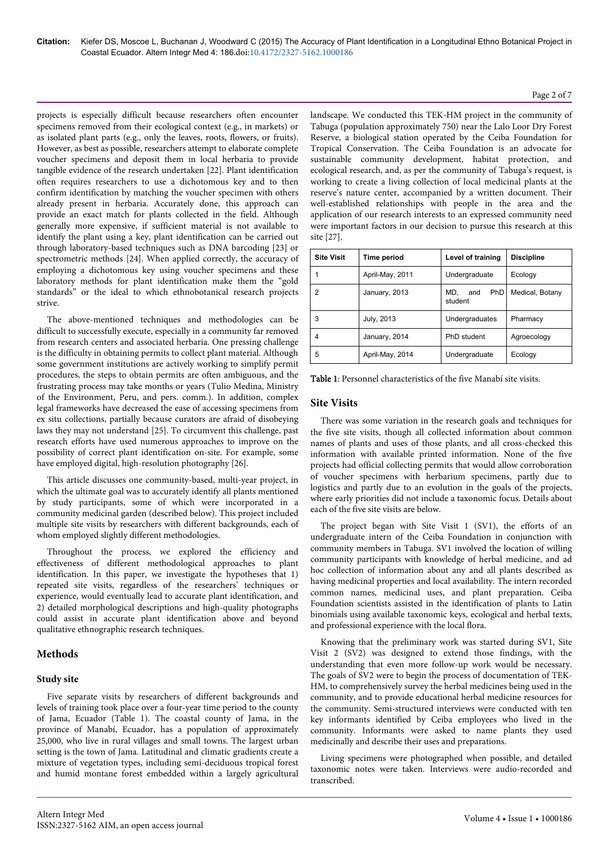projects is especially difficult because researchers often encounter specimens removed from their ecological context (e.g., in markets) or as isolated plant parts (e.g., only the leaves, roots, flowers, or fruits). However, as best as possible, researchers attempt to elaborate complete voucher specimens and deposit them in local herbaria to provide tangible evidence of the research undertaken [22]. Plant identification often requires researchers to use a dichotomous key and to then confirm identification by matching the voucher specimen with others already present in herbaria. Accurately done, this approach can provide an exact match for plants collected in the field. Although generally more expensive, if sufficient material is not available to identify the plant using a key, plant identification can be carried out through laboratory-based techniques such as DNA barcoding [23] or spectrometric methods [24]. When applied correctly, the accuracy of employing a dichotomous key using voucher specimens and these laboratory methods for plant identification make them the "gold standards" or the ideal to which ethnobotanical research projects strive.

The above-mentioned techniques and methodologies can be difficult to successfully execute, especially in a community far removed from research centers and associated herbaria. One pressing challenge is the difficulty in obtaining permits to collect plant material. Although some government institutions are actively working to simplify permit procedures, the steps to obtain permits are often ambiguous, and the frustrating process may take months or years (Tulio Medina, Ministry of the Environment, Peru, and pers. comm.). In addition, complex legal frameworks have decreased the ease of accessing specimens from ex situ collections, partially because curators are afraid of disobeying laws they may not understand [25]. To circumvent this challenge, past research efforts have used numerous approaches to improve on the possibility of correct plant identification on-site. For example, some have employed digital, high-resolution photography [26].

This article discusses one community-based, multi-year project, in which the ultimate goal was to accurately identify all plants mentioned by study participants, some of which were incorporated in a community medicinal garden (described below). This project included multiple site visits by researchers with different backgrounds, each of whom employed slightly different methodologies.

Throughout the process, we explored the efficiency and effectiveness of different methodological approaches to plant identification. In this paper, we investigate the hypotheses that 1) repeated site visits, regardless of the researchers' techniques or experience, would eventually lead to accurate plant identification, and 2) detailed morphological descriptions and high-quality photographs could assist in accurate plant identification above and beyond qualitative ethnographic research techniques.

## **Methods**

#### **Study site**

Five separate visits by researchers of different backgrounds and levels of training took place over a four-year time period to the county of Jama, Ecuador (Table 1). The coastal county of Jama, in the province of Manabí, Ecuador, has a population of approximately 25,000, who live in rural villages and small towns. The largest urban setting is the town of Jama. Latitudinal and climatic gradients create a mixture of vegetation types, including semi-deciduous tropical forest and humid montane forest embedded within a largely agricultural landscape. We conducted this TEK-HM project in the community of Tabuga (population approximately 750) near the Lalo Loor Dry Forest Reserve, a biological station operated by the Ceiba Foundation for Tropical Conservation. The Ceiba Foundation is an advocate for sustainable community development, habitat protection, and ecological research, and, as per the community of Tabuga's request, is working to create a living collection of local medicinal plants at the reserve's nature center, accompanied by a written document. Their well-established relationships with people in the area and the application of our research interests to an expressed community need were important factors in our decision to pursue this research at this site [27].

Page 2 of 7

| <b>Site Visit</b> | Time period     | Level of training                   | <b>Discipline</b> |  |  |  |  |
|-------------------|-----------------|-------------------------------------|-------------------|--|--|--|--|
|                   | April-May, 2011 | Undergraduate                       | Ecology           |  |  |  |  |
| 2                 | January, 2013   | <b>PhD</b><br>MD.<br>and<br>student | Medical, Botany   |  |  |  |  |
| 3                 | July, 2013      | Undergraduates                      | Pharmacy          |  |  |  |  |
| 4                 | January, 2014   | PhD student                         | Agroecology       |  |  |  |  |
| 5                 | April-May, 2014 | Undergraduate                       | Ecology           |  |  |  |  |

Table 1: Personnel characteristics of the five Manabí site visits.

#### **Site Visits**

There was some variation in the research goals and techniques for the five site visits, though all collected information about common names of plants and uses of those plants, and all cross-checked this information with available printed information. None of the five projects had official collecting permits that would allow corroboration of voucher specimens with herbarium specimens, partly due to logistics and partly due to an evolution in the goals of the projects, where early priorities did not include a taxonomic focus. Details about each of the five site visits are below.

The project began with Site Visit 1 (SV1), the efforts of an undergraduate intern of the Ceiba Foundation in conjunction with community members in Tabuga. SV1 involved the location of willing community participants with knowledge of herbal medicine, and ad hoc collection of information about any and all plants described as having medicinal properties and local availability. The intern recorded common names, medicinal uses, and plant preparation. Ceiba Foundation scientists assisted in the identification of plants to Latin binomials using available taxonomic keys, ecological and herbal texts, and professional experience with the local flora.

Knowing that the preliminary work was started during SV1, Site Visit 2 (SV2) was designed to extend those findings, with the understanding that even more follow-up work would be necessary. The goals of SV2 were to begin the process of documentation of TEK-HM, to comprehensively survey the herbal medicines being used in the community, and to provide educational herbal medicine resources for the community. Semi-structured interviews were conducted with ten key informants identified by Ceiba employees who lived in the community. Informants were asked to name plants they used medicinally and describe their uses and preparations.

Living specimens were photographed when possible, and detailed taxonomic notes were taken. Interviews were audio-recorded and transcribed.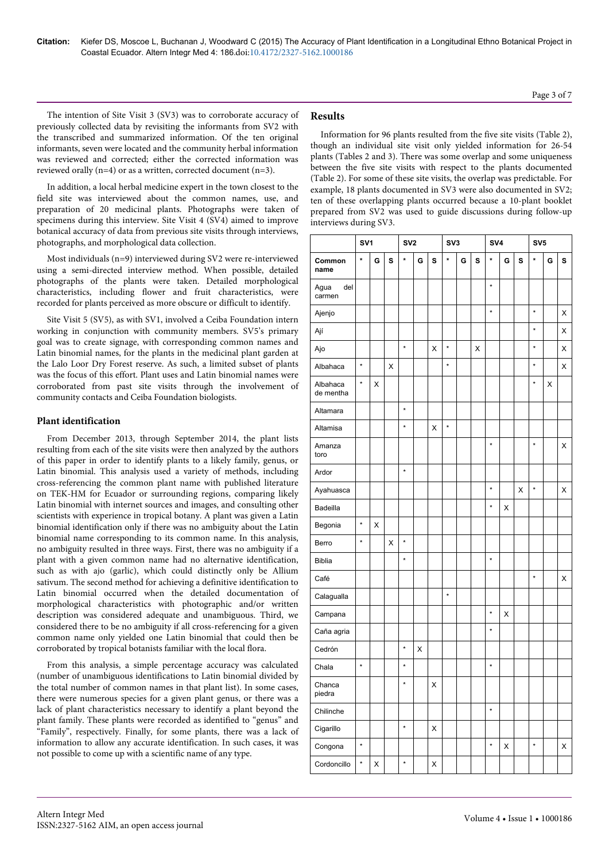The intention of Site Visit 3 (SV3) was to corroborate accuracy of previously collected data by revisiting the informants from SV2 with the transcribed and summarized information. Of the ten original informants, seven were located and the community herbal information was reviewed and corrected; either the corrected information was reviewed orally (n=4) or as a written, corrected document (n=3).

In addition, a local herbal medicine expert in the town closest to the field site was interviewed about the common names, use, and preparation of 20 medicinal plants. Photographs were taken of specimens during this interview. Site Visit 4 (SV4) aimed to improve botanical accuracy of data from previous site visits through interviews, photographs, and morphological data collection.

Most individuals (n=9) interviewed during SV2 were re-interviewed using a semi-directed interview method. When possible, detailed photographs of the plants were taken. Detailed morphological characteristics, including flower and fruit characteristics, were recorded for plants perceived as more obscure or difficult to identify.

Site Visit 5 (SV5), as with SV1, involved a Ceiba Foundation intern working in conjunction with community members. SV5's primary goal was to create signage, with corresponding common names and Latin binomial names, for the plants in the medicinal plant garden at the Lalo Loor Dry Forest reserve. As such, a limited subset of plants was the focus of this effort. Plant uses and Latin binomial names were corroborated from past site visits through the involvement of community contacts and Ceiba Foundation biologists.

## **Plant identification**

From December 2013, through September 2014, the plant lists resulting from each of the site visits were then analyzed by the authors of this paper in order to identify plants to a likely family, genus, or Latin binomial. This analysis used a variety of methods, including cross-referencing the common plant name with published literature on TEK-HM for Ecuador or surrounding regions, comparing likely Latin binomial with internet sources and images, and consulting other scientists with experience in tropical botany. A plant was given a Latin binomial identification only if there was no ambiguity about the Latin binomial name corresponding to its common name. In this analysis, no ambiguity resulted in three ways. First, there was no ambiguity if a plant with a given common name had no alternative identification, such as with ajo (garlic), which could distinctly only be Allium sativum. The second method for achieving a definitive identification to Latin binomial occurred when the detailed documentation of morphological characteristics with photographic and/or written description was considered adequate and unambiguous. Third, we considered there to be no ambiguity if all cross-referencing for a given common name only yielded one Latin binomial that could then be corroborated by tropical botanists familiar with the local flora.

From this analysis, a simple percentage accuracy was calculated (number of unambiguous identifications to Latin binomial divided by the total number of common names in that plant list). In some cases, there were numerous species for a given plant genus, or there was a lack of plant characteristics necessary to identify a plant beyond the plant family. These plants were recorded as identified to "genus" and "Family", respectively. Finally, for some plants, there was a lack of information to allow any accurate identification. In such cases, it was not possible to come up with a scientific name of any type.

## **Results**

Information for 96 plants resulted from the five site visits (Table 2), though an individual site visit only yielded information for 26-54 plants (Tables 2 and 3). There was some overlap and some uniqueness between the five site visits with respect to the plants documented (Table 2). For some of these site visits, the overlap was predictable. For example, 18 plants documented in SV3 were also documented in SV2; ten of these overlapping plants occurred because a 10-plant booklet prepared from SV2 was used to guide discussions during follow-up interviews during SV3.

|                       | SV <sub>1</sub> |                    |   | SV2     |   |   | SV <sub>3</sub> |   |   | SV4     |   |   | SV <sub>5</sub> |   |   |
|-----------------------|-----------------|--------------------|---|---------|---|---|-----------------|---|---|---------|---|---|-----------------|---|---|
| Common<br>name        | $\star$         | G                  | S | $\star$ | G | S | *               | G | S | *       | G | S | *               | G | S |
| Agua<br>del<br>carmen |                 |                    |   |         |   |   |                 |   |   | $\star$ |   |   |                 |   |   |
| Ajenjo                |                 |                    |   |         |   |   |                 |   |   | ×       |   |   | $\star$         |   | X |
| Ají                   |                 |                    |   |         |   |   |                 |   |   |         |   |   | $\star$         |   | X |
| Ajo                   |                 |                    |   | $\star$ |   | X | $\star$         |   | X |         |   |   | $\star$         |   | X |
| Albahaca              | $\star$         |                    | X |         |   |   | $\star$         |   |   |         |   |   | $\star$         |   | X |
| Albahaca<br>de mentha | ×               | Χ                  |   |         |   |   |                 |   |   |         |   |   | *               | X |   |
| Altamara              |                 |                    |   | $\star$ |   |   |                 |   |   |         |   |   |                 |   |   |
| Altamisa              |                 |                    |   | $\star$ |   | X | $\star$         |   |   |         |   |   |                 |   |   |
| Amanza<br>toro        |                 |                    |   |         |   |   |                 |   |   | $\star$ |   |   | $\star$         |   | X |
| Ardor                 |                 |                    |   | $\star$ |   |   |                 |   |   |         |   |   |                 |   |   |
| Ayahuasca             |                 |                    |   |         |   |   |                 |   |   | $\star$ |   | X | $\star$         |   | X |
| Badeilla              |                 |                    |   |         |   |   |                 |   |   | $\star$ | Χ |   |                 |   |   |
| Begonia               | $\star$         | X                  |   |         |   |   |                 |   |   |         |   |   |                 |   |   |
| Berro                 | $\star$         |                    | X | $\star$ |   |   |                 |   |   |         |   |   |                 |   |   |
| <b>Biblia</b>         |                 |                    |   | $\star$ |   |   |                 |   |   | $\star$ |   |   |                 |   |   |
| Café                  |                 |                    |   |         |   |   |                 |   |   |         |   |   | $\star$         |   | X |
| Calagualla            |                 |                    |   |         |   |   | $\star$         |   |   |         |   |   |                 |   |   |
| Campana               |                 |                    |   |         |   |   |                 |   |   | *       | Χ |   |                 |   |   |
| Caña agria            |                 |                    |   |         |   |   |                 |   |   | $\star$ |   |   |                 |   |   |
| Cedrón                |                 |                    |   | $\star$ | X |   |                 |   |   |         |   |   |                 |   |   |
| Chala                 | $\star$         |                    |   | $\star$ |   |   |                 |   |   | $\star$ |   |   |                 |   |   |
| Chanca<br>piedra      |                 |                    |   | *       |   | X |                 |   |   |         |   |   |                 |   |   |
| Chilinche             |                 |                    |   |         |   |   |                 |   |   | $\star$ |   |   |                 |   |   |
| Cigarillo             |                 |                    |   | $\star$ |   | X |                 |   |   |         |   |   |                 |   |   |
| Congona               | $\star$         |                    |   |         |   |   |                 |   |   | $\star$ | Χ |   | $\star$         |   | Χ |
| Cordoncillo           | *               | $\pmb{\mathsf{X}}$ |   | $\star$ |   | X |                 |   |   |         |   |   |                 |   |   |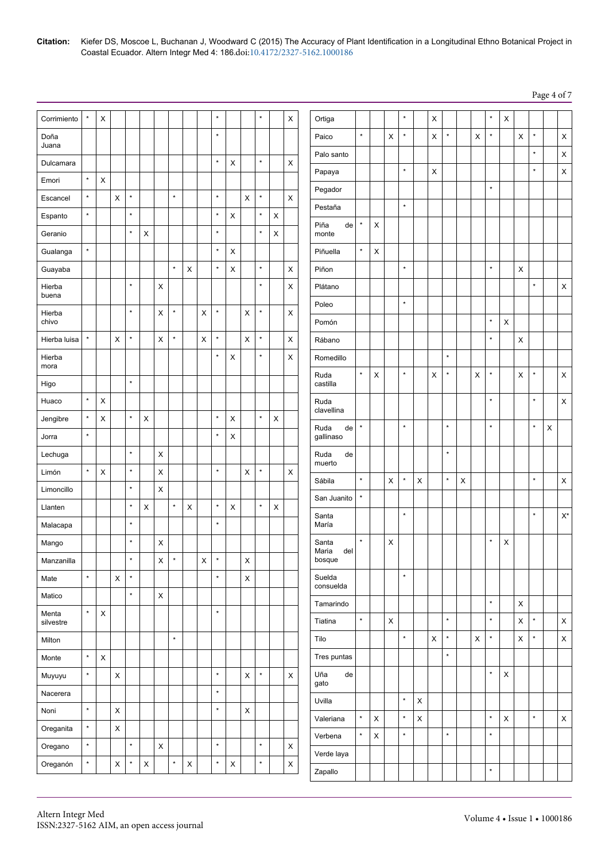| Citation: Kiefer DS, Moscoe L, Buchanan J, Woodward C (2015) The Accuracy of Plant Identification in a Longitudinal Ethno Botanical Project in |
|------------------------------------------------------------------------------------------------------------------------------------------------|
| Coastal Ecuador. Altern Integr Med 4: 186.doi:10.4172/2327-5162.1000186                                                                        |

Page 4 of 7

| Corrimiento        |         | X              |                |         |                           |                |              |                |                | $\star$ |                |                | $\star$ |                | X           | Ortiga                |               |             |                           | $\star$ |                           | X            |         |                           |             | $\star$ | $\boldsymbol{\mathsf{X}}$ |             |         |             |                           |
|--------------------|---------|----------------|----------------|---------|---------------------------|----------------|--------------|----------------|----------------|---------|----------------|----------------|---------|----------------|-------------|-----------------------|---------------|-------------|---------------------------|---------|---------------------------|--------------|---------|---------------------------|-------------|---------|---------------------------|-------------|---------|-------------|---------------------------|
| Doña               |         |                |                |         |                           |                |              |                |                | $\star$ |                |                |         |                |             | Paico                 | $\star$       |             | X                         | $\star$ |                           | X            | $\star$ |                           | X           | $\star$ |                           | $\sf X$     | $\star$ |             | $\pmb{\times}$            |
| Juana              |         |                |                |         |                           |                |              |                |                |         |                |                |         |                |             | Palo santo            |               |             |                           |         |                           |              |         |                           |             |         |                           |             | $\star$ |             | $\boldsymbol{\mathsf{X}}$ |
| Dulcamara          |         |                |                |         |                           |                |              |                |                | $\star$ | $\mathsf X$    |                | $\star$ |                | $\mathsf X$ | Papaya                |               |             |                           | $\star$ |                           | X            |         |                           |             |         |                           |             | $\star$ |             | $\mathsf X$               |
| Emori              | $\star$ | $\mathsf X$    |                |         |                           |                |              |                |                |         |                |                |         |                |             | Pegador               |               |             |                           |         |                           |              |         |                           |             | $\star$ |                           |             |         |             |                           |
| Escancel           | $\star$ |                | $\pmb{\times}$ | $\star$ |                           |                | $\star$      |                |                | $\star$ |                | $\pmb{\times}$ | $\star$ |                | X           | Pestaña               |               |             |                           | $\star$ |                           |              |         |                           |             |         |                           |             |         |             |                           |
| Espanto            | $\star$ |                |                | $\star$ |                           |                |              |                |                | $\star$ | $\mathsf X$    |                | $\star$ | X              |             | Piña                  | $\star$<br>de | $\mathsf X$ |                           |         |                           |              |         |                           |             |         |                           |             |         |             |                           |
| Geranio            |         |                |                | $\star$ | $\pmb{\times}$            |                |              |                |                | $\star$ |                |                | $\star$ | X              |             | monte                 |               |             |                           |         |                           |              |         |                           |             |         |                           |             |         |             |                           |
| Gualanga           | $\star$ |                |                |         |                           |                |              |                |                | $\star$ | X              |                |         |                |             | Piñuella              | $\star$       | $\mathsf X$ |                           |         |                           |              |         |                           |             |         |                           |             |         |             |                           |
| Guayaba            |         |                |                |         |                           |                | $\star$      | $\pmb{\times}$ |                | $\star$ | $\mathsf X$    |                | $\star$ |                | X           | Piñon                 |               |             |                           | $\star$ |                           |              |         |                           |             | $\star$ |                           | X           |         |             |                           |
| Hierba<br>buena    |         |                |                | $\star$ |                           | X              |              |                |                |         |                |                | $\star$ |                | X           | Plátano               |               |             |                           |         |                           |              |         |                           |             |         |                           |             | $\star$ |             | $\mathsf X$               |
| Hierba             |         |                |                | $\star$ |                           | $\pmb{\times}$ | $\star$      |                | $\pmb{\times}$ | $\star$ |                | $\pmb{\times}$ | $\star$ |                | X           | Poleo                 |               |             |                           | $\star$ |                           |              |         |                           |             |         |                           |             |         |             |                           |
| chivo              |         |                |                |         |                           |                |              |                |                |         |                |                |         |                |             | Pomón                 |               |             |                           |         |                           |              |         |                           |             | $\star$ | X                         |             |         |             |                           |
| Hierba luisa       | $\star$ |                | X              | $\star$ |                           | X              | $\star$      |                | $\pmb{\times}$ | $\star$ |                | $\pmb{\times}$ | $\star$ |                | X           | Rábano                |               |             |                           |         |                           |              |         |                           |             | $\star$ |                           | $\mathsf X$ |         |             |                           |
| Hierba<br>mora     |         |                |                |         |                           |                |              |                |                | $\star$ | X              |                | $\star$ |                | X           | Romedillo             |               |             |                           |         |                           |              | $\star$ |                           |             |         |                           |             |         |             |                           |
| Higo               |         |                |                | $\star$ |                           |                |              |                |                |         |                |                |         |                |             | Ruda<br>castilla      | $\star$       | $\mathsf X$ |                           | $\star$ |                           | X            | $\star$ |                           | $\mathsf X$ | $\star$ |                           | $\mathsf X$ | $\star$ |             | $\pmb{\times}$            |
| Huaco              | $\star$ | X              |                |         |                           |                |              |                |                |         |                |                |         |                |             | Ruda                  |               |             |                           |         |                           |              |         |                           |             | $\star$ |                           |             | $\star$ |             | $\mathsf X$               |
| Jengibre           | $\star$ | X              |                | $\star$ | X                         |                |              |                |                | $\star$ | X              |                | $\star$ | X              |             | clavellina            |               |             |                           |         |                           |              |         |                           |             |         |                           |             |         |             |                           |
| Jorra              | $\star$ |                |                |         |                           |                |              |                |                | $\star$ | $\mathsf X$    |                |         |                |             | Ruda<br>gallinaso     | $\star$<br>de |             |                           | $\star$ |                           |              | $\star$ |                           |             | $\star$ |                           |             | $\star$ | $\mathsf X$ |                           |
|                    |         |                |                | $\star$ |                           | $\pmb{\times}$ |              |                |                |         |                |                |         |                |             | Ruda                  |               |             |                           |         |                           |              | $\star$ |                           |             |         |                           |             |         |             |                           |
| Lechuga            | $\star$ |                |                | $\star$ |                           |                |              |                |                | $\star$ |                |                | $\star$ |                |             | muerto                | de            |             |                           |         |                           |              |         |                           |             |         |                           |             |         |             |                           |
| Limón              |         | $\pmb{\times}$ |                | $\star$ |                           | $\pmb{\times}$ |              |                |                |         |                | $\mathsf X$    |         |                | X           | Sábila                | $\star$       |             | $\boldsymbol{\mathsf{X}}$ | $\star$ | $\boldsymbol{\mathsf{X}}$ |              | $\star$ | $\boldsymbol{\mathsf{X}}$ |             |         |                           |             | $\star$ |             | $\mathsf X$               |
| Limoncillo         |         |                |                | $\star$ |                           | $\pmb{\times}$ | $\star$      |                |                | $\star$ |                |                | $\star$ |                |             | San Juanito           | $\star$       |             |                           |         |                           |              |         |                           |             |         |                           |             |         |             |                           |
| Llanten            |         |                |                | $\star$ | $\pmb{\times}$            |                |              | $\pmb{\times}$ |                | $\star$ | $\pmb{\times}$ |                |         | $\pmb{\times}$ |             | Santa                 |               |             |                           | $\star$ |                           |              |         |                           |             |         |                           |             | $\star$ |             | $\mathsf{X}^\star$        |
| Malacapa           |         |                |                |         |                           |                |              |                |                |         |                |                |         |                |             | María                 | $\star$       |             |                           |         |                           |              |         |                           |             | $\star$ |                           |             |         |             |                           |
| Mango              |         |                |                | $\star$ |                           | X              |              |                |                |         |                |                |         |                |             | Santa<br>Maria<br>del |               |             | X                         |         |                           |              |         |                           |             |         | X                         |             |         |             |                           |
| Manzanilla         |         |                |                | $\star$ |                           | X              | $\pmb{\ast}$ |                | X              | $\star$ |                | X              |         |                |             | bosque                |               |             |                           | $\star$ |                           |              |         |                           |             |         |                           |             |         |             |                           |
| Mate               | $\star$ |                | $\mathsf X$    | $\star$ |                           |                |              |                |                | $\star$ |                | $\mathsf X$    |         |                |             | Suelda<br>consuelda   |               |             |                           |         |                           |              |         |                           |             |         |                           |             |         |             |                           |
| Matico             |         |                |                | $\star$ |                           | $\mathsf X$    |              |                |                |         |                |                |         |                |             | Tamarindo             |               |             |                           |         |                           |              |         |                           |             | $\star$ |                           | $\mathsf X$ |         |             |                           |
| Menta<br>silvestre | $\star$ | $\mathsf X$    |                |         |                           |                |              |                |                | $\star$ |                |                |         |                |             | Tiatina               | $\star$       |             | $\mathsf X$               |         |                           |              | $\star$ |                           |             | $\star$ |                           | $\mathsf X$ | $\star$ |             | $\pmb{\times}$            |
| Milton             |         |                |                |         |                           |                | $\star$      |                |                |         |                |                |         |                |             | Tilo                  |               |             |                           | $\star$ |                           | $\mathsf{x}$ | $\star$ |                           | $\mathsf X$ | $\star$ |                           | $\mathsf X$ | $\star$ |             | $\mathsf X$               |
| Monte              | $\star$ | $\mathsf X$    |                |         |                           |                |              |                |                |         |                |                |         |                |             | Tres puntas           |               |             |                           |         |                           |              | $\star$ |                           |             |         |                           |             |         |             |                           |
| Muyuyu             | $\star$ |                | $\mathsf X$    |         |                           |                |              |                |                | $\star$ |                | $\mathsf X$    | $\star$ |                | $\mathsf X$ | Uña                   | de            |             |                           |         |                           |              |         |                           |             | $\star$ | $\mathsf X$               |             |         |             |                           |
| Nacerera           |         |                |                |         |                           |                |              |                |                | $\star$ |                |                |         |                |             | gato                  |               |             |                           | $\star$ |                           |              |         |                           |             |         |                           |             |         |             |                           |
| Noni               | $\star$ |                | $\mathsf X$    |         |                           |                |              |                |                | $\star$ |                | $\mathsf X$    |         |                |             | Uvilla                |               |             |                           |         | $\mathsf X$               |              |         |                           |             |         |                           |             |         |             |                           |
| Oreganita          | $\star$ |                | $\mathsf X$    |         |                           |                |              |                |                |         |                |                |         |                |             | Valeriana             | $\star$       | $\mathsf X$ |                           | $\star$ | $\mathsf X$               |              |         |                           |             | $\star$ | $\mathsf X$               |             | $\star$ |             | $\mathsf X$               |
| Oregano            | $\star$ |                |                | $\star$ |                           | $\mathsf X$    |              |                |                | $\star$ |                |                | $\star$ |                | $\mathsf X$ | Verbena               | $\star$       | $\mathsf X$ |                           | $\star$ |                           |              | $\star$ |                           |             | $\star$ |                           |             |         |             |                           |
| Oreganón           | $\star$ |                | $\mathsf X$    | $\star$ | $\boldsymbol{\mathsf{X}}$ |                | $\star$      | $\mathsf X$    |                | $\star$ | $\mathsf X$    |                | $\star$ |                | $\mathsf X$ | Verde laya            |               |             |                           |         |                           |              |         |                           |             |         |                           |             |         |             |                           |
|                    |         |                |                |         |                           |                |              |                |                |         |                |                |         |                |             | Zapallo               |               |             |                           |         |                           |              |         |                           |             | $\star$ |                           |             |         |             |                           |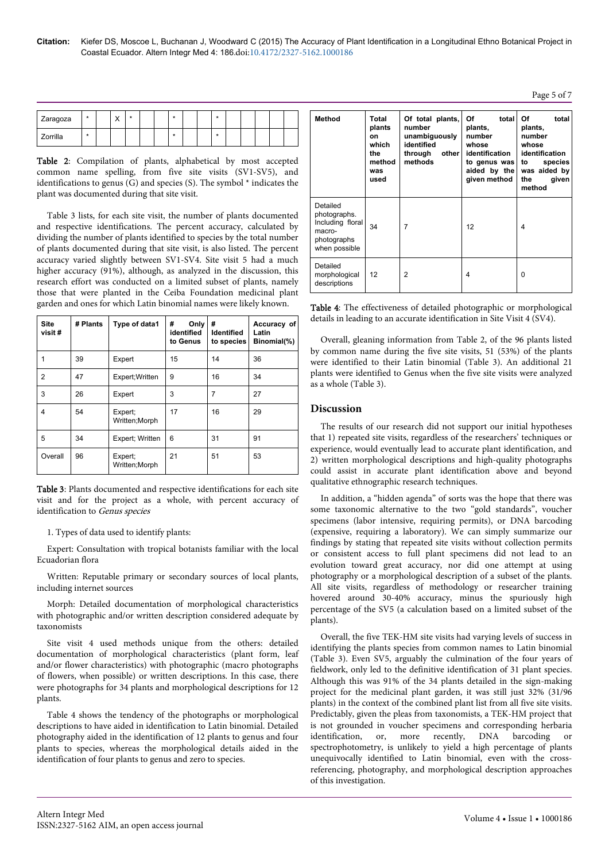| Zaragoza | $\star$ | $\checkmark$<br>$\lambda$ | $\star$ |  | -29 |  | ۸ |  |  |  |
|----------|---------|---------------------------|---------|--|-----|--|---|--|--|--|
| Zorrilla | $\star$ |                           |         |  | -29 |  | ۰ |  |  |  |

Table 2: Compilation of plants, alphabetical by most accepted common name spelling, from five site visits (SV1-SV5), and identifications to genus (G) and species (S). The symbol \* indicates the plant was documented during that site visit.

Table 3 lists, for each site visit, the number of plants documented and respective identifications. The percent accuracy, calculated by dividing the number of plants identified to species by the total number of plants documented during that site visit, is also listed. The percent accuracy varied slightly between SV1-SV4. Site visit 5 had a much higher accuracy (91%), although, as analyzed in the discussion, this research effort was conducted on a limited subset of plants, namely those that were planted in the Ceiba Foundation medicinal plant garden and ones for which Latin binomial names were likely known.

| <b>Site</b><br>visit# | # Plants | Type of data1             | #<br>Only<br>identified<br>to Genus | #<br><b>Identified</b><br>to species | Accuracy of<br>Latin<br>Binomial(%) |
|-----------------------|----------|---------------------------|-------------------------------------|--------------------------------------|-------------------------------------|
| 1                     | 39       | Expert                    | 15                                  | 14                                   | 36                                  |
| $\overline{2}$        | 47       | Expert; Written           | 9                                   | 16                                   | 34                                  |
| 3                     | 26       | Expert                    | 3                                   | 7                                    | 27                                  |
| 4                     | 54       | Expert;<br>Written; Morph | 17                                  | 16                                   | 29                                  |
| 5                     | 34       | Expert; Written           | 6                                   | 31                                   | 91                                  |
| Overall               | 96       | Expert;<br>Written; Morph | 21                                  | 51                                   | 53                                  |

Table 3: Plants documented and respective identifications for each site visit and for the project as a whole, with percent accuracy of identification to Genus species

1. Types of data used to identify plants:

Expert: Consultation with tropical botanists familiar with the local Ecuadorian flora

Written: Reputable primary or secondary sources of local plants, including internet sources

Morph: Detailed documentation of morphological characteristics with photographic and/or written description considered adequate by taxonomists

Site visit 4 used methods unique from the others: detailed documentation of morphological characteristics (plant form, leaf and/or flower characteristics) with photographic (macro photographs of flowers, when possible) or written descriptions. In this case, there were photographs for 34 plants and morphological descriptions for 12 plants.

Table 4 shows the tendency of the photographs or morphological descriptions to have aided in identification to Latin binomial. Detailed photography aided in the identification of 12 plants to genus and four plants to species, whereas the morphological details aided in the identification of four plants to genus and zero to species.

| <b>Method</b>                                                                          | Total<br>plants<br>on<br>which<br>the<br>method<br>was<br>used | Of total plants,<br>number<br>unambiguously<br>identified<br>through<br>other l<br>methods | Οf<br>total<br>plants,<br>number<br>whose<br>identification<br>to genus was<br>aided by the<br>given method | Οf<br>total<br>plants,<br>number<br>whose<br>identification<br>species<br>to<br>was aided by<br>the<br>given<br>method |
|----------------------------------------------------------------------------------------|----------------------------------------------------------------|--------------------------------------------------------------------------------------------|-------------------------------------------------------------------------------------------------------------|------------------------------------------------------------------------------------------------------------------------|
| Detailed<br>photographs.<br>Including floral<br>macro-<br>photographs<br>when possible | 34                                                             | 7                                                                                          | 12                                                                                                          | $\overline{4}$                                                                                                         |
| Detailed<br>morphological<br>descriptions                                              | 12                                                             | 2                                                                                          | 4                                                                                                           | 0                                                                                                                      |

Table 4: The effectiveness of detailed photographic or morphological details in leading to an accurate identification in Site Visit 4 (SV4).

Overall, gleaning information from Table 2, of the 96 plants listed by common name during the five site visits, 51 (53%) of the plants were identified to their Latin binomial (Table 3). An additional 21 plants were identified to Genus when the five site visits were analyzed as a whole (Table 3).

## **Discussion**

The results of our research did not support our initial hypotheses that 1) repeated site visits, regardless of the researchers' techniques or experience, would eventually lead to accurate plant identification, and 2) written morphological descriptions and high-quality photographs could assist in accurate plant identification above and beyond qualitative ethnographic research techniques.

In addition, a "hidden agenda" of sorts was the hope that there was some taxonomic alternative to the two "gold standards", voucher specimens (labor intensive, requiring permits), or DNA barcoding (expensive, requiring a laboratory). We can simply summarize our findings by stating that repeated site visits without collection permits or consistent access to full plant specimens did not lead to an evolution toward great accuracy, nor did one attempt at using photography or a morphological description of a subset of the plants. All site visits, regardless of methodology or researcher training hovered around 30-40% accuracy, minus the spuriously high percentage of the SV5 (a calculation based on a limited subset of the plants).

Overall, the five TEK-HM site visits had varying levels of success in identifying the plants species from common names to Latin binomial (Table 3). Even SV5, arguably the culmination of the four years of fieldwork, only led to the definitive identification of 31 plant species. Although this was 91% of the 34 plants detailed in the sign-making project for the medicinal plant garden, it was still just 32% (31/96 plants) in the context of the combined plant list from all five site visits. Predictably, given the pleas from taxonomists, a TEK-HM project that is not grounded in voucher specimens and corresponding herbaria identification, or, more recently, DNA barcoding or spectrophotometry, is unlikely to yield a high percentage of plants unequivocally identified to Latin binomial, even with the crossreferencing, photography, and morphological description approaches of this investigation.

Page 5 of 7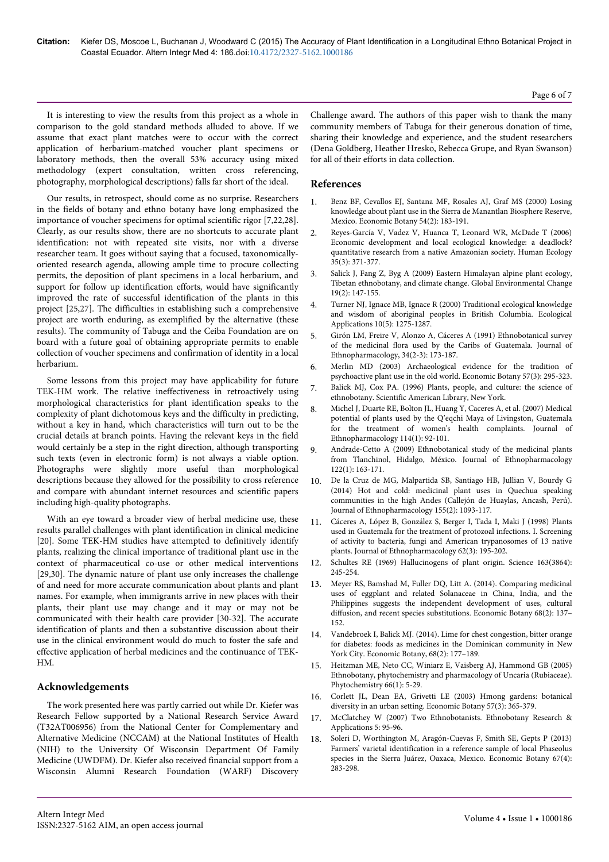It is interesting to view the results from this project as a whole in comparison to the gold standard methods alluded to above. If we assume that exact plant matches were to occur with the correct application of herbarium-matched voucher plant specimens or laboratory methods, then the overall 53% accuracy using mixed methodology (expert consultation, written cross referencing, photography, morphological descriptions) falls far short of the ideal.

Our results, in retrospect, should come as no surprise. Researchers in the fields of botany and ethno botany have long emphasized the importance of voucher specimens for optimal scientific rigor [7,22,28]. Clearly, as our results show, there are no shortcuts to accurate plant identification: not with repeated site visits, nor with a diverse researcher team. It goes without saying that a focused, taxonomicallyoriented research agenda, allowing ample time to procure collecting permits, the deposition of plant specimens in a local herbarium, and support for follow up identification efforts, would have significantly improved the rate of successful identification of the plants in this project [25,27]. The difficulties in establishing such a comprehensive project are worth enduring, as exemplified by the alternative (these results). The community of Tabuga and the Ceiba Foundation are on board with a future goal of obtaining appropriate permits to enable collection of voucher specimens and confirmation of identity in a local herbarium.

Some lessons from this project may have applicability for future TEK-HM work. The relative ineffectiveness in retroactively using morphological characteristics for plant identification speaks to the complexity of plant dichotomous keys and the difficulty in predicting, without a key in hand, which characteristics will turn out to be the crucial details at branch points. Having the relevant keys in the field would certainly be a step in the right direction, although transporting such texts (even in electronic form) is not always a viable option. Photographs were slightly more useful than morphological descriptions because they allowed for the possibility to cross reference and compare with abundant internet resources and scientific papers including high-quality photographs.

With an eye toward a broader view of herbal medicine use, these results parallel challenges with plant identification in clinical medicine [20]. Some TEK-HM studies have attempted to definitively identify plants, realizing the clinical importance of traditional plant use in the context of pharmaceutical co-use or other medical interventions [29,30]. The dynamic nature of plant use only increases the challenge of and need for more accurate communication about plants and plant names. For example, when immigrants arrive in new places with their plants, their plant use may change and it may or may not be communicated with their health care provider [30-32]. The accurate identification of plants and then a substantive discussion about their use in the clinical environment would do much to foster the safe and effective application of herbal medicines and the continuance of TEK-HM.

## **Acknowledgements**

The work presented here was partly carried out while Dr. Kiefer was Research Fellow supported by a National Research Service Award (T32AT006956) from the National Center for Complementary and Alternative Medicine (NCCAM) at the National Institutes of Health (NIH) to the University Of Wisconsin Department Of Family Medicine (UWDFM). Dr. Kiefer also received financial support from a Wisconsin Alumni Research Foundation (WARF) Discovery

Challenge award. The authors of this paper wish to thank the many community members of Tabuga for their generous donation of time, sharing their knowledge and experience, and the student researchers (Dena Goldberg, Heather Hresko, Rebecca Grupe, and Ryan Swanson) for all of their efforts in data collection.

#### **References**

- 1. Benz BF, Cevallos EJ, Santana MF, Rosales AJ, Graf MS (2000) Losing knowledge about plant use in the Sierra de Manantlan Biosphere Reserve, Mexico. Economic Botany 54(2): 183-191.
- 2. Reyes-García V, Vadez V, Huanca T, Leonard WR, McDade T (2006) Economic development and local ecological knowledge: a deadlock? quantitative research from a native Amazonian society. Human Ecology 35(3): 371-377.
- 3. [Salick J, Fang Z, Byg A \(2009\) Eastern Himalayan alpine plant ecology,](http://www.gloria.ac.at/.../Salick_etal_2009_Eastern_Himalaya_Tibetan_Ethno.) [Tibetan ethnobotany, and climate change. Global Environmental Change](http://www.gloria.ac.at/.../Salick_etal_2009_Eastern_Himalaya_Tibetan_Ethno.) [19\(2\): 147-155](http://www.gloria.ac.at/.../Salick_etal_2009_Eastern_Himalaya_Tibetan_Ethno.).
- 4. [Turner NJ, Ignace MB, Ignace R \(2000\) Traditional ecological knowledge](http://www.fws.gov/nativeamerican/pdf/tek_turner-2000.pdf) [and wisdom of aboriginal peoples in British Columbia. Ecological](http://www.fws.gov/nativeamerican/pdf/tek_turner-2000.pdf) [Applications 10\(5\): 1275-1287](http://www.fws.gov/nativeamerican/pdf/tek_turner-2000.pdf).
- 5. [Girón LM, Freire V, Alonzo A, Cáceres A \(1991\) Ethnobotanical survey](http://www.ncbi.nlm.nih.gov/pubmed/1795521) [of the medicinal flora used by the Caribs of Guatemala. Journal of](http://www.ncbi.nlm.nih.gov/pubmed/1795521) [Ethnopharmacology, 34\(2-3\): 173-187](http://www.ncbi.nlm.nih.gov/pubmed/1795521).
- 6. Merlin MD (2003) Archaeological evidence for the tradition of psychoactive plant use in the old world. Economic Botany 57(3): 295-323.
- 7. Balick MJ, Cox PA. (1996) Plants, people, and culture: the science of ethnobotany. Scientific American Library, New York.
- 8. [Michel J, Duarte RE, Bolton JL, Huang Y, Caceres A, et al. \(2007\) Medical](http://www.ncbi.nlm.nih.gov) [potential of plants used by the Q'eqchi Maya of Livingston, Guatemala](http://www.ncbi.nlm.nih.gov) [for the treatment of women's health complaints. Journal of](http://www.ncbi.nlm.nih.gov) [Ethnopharmacology 114\(1\): 92-101.](http://www.ncbi.nlm.nih.gov)
- 9. [Andrade-Cetto A \(2009\) Ethnobotanical study of the medicinal plants](http://www.researchgate.net/.../23790944) [from Tlanchinol, Hidalgo, México. Journal of Ethnopharmacology](http://www.researchgate.net/.../23790944) [122\(1\): 163-171.](http://www.researchgate.net/.../23790944)
- 10. [De la Cruz de MG, Malpartida SB, Santiago HB, Jullian V, Bourdy G](http://www.ncbi.nlm.nih.gov/pubmed/24995836) [\(2014\) Hot and cold: medicinal plant uses in Quechua speaking](http://www.ncbi.nlm.nih.gov/pubmed/24995836) [communities in the high Andes \(Callejón de Huaylas, Ancash, Perú\).](http://www.ncbi.nlm.nih.gov/pubmed/24995836) [Journal of Ethnopharmacology 155\(2\): 1093-117](http://www.ncbi.nlm.nih.gov/pubmed/24995836).
- [Cáceres A, López B, González S, Berger I, Tada I, Maki J \(1998\) Plants](http://www.researchgate.net/.../13437395_) [used in Guatemala for the treatment of protozoal infections. I. Screening](http://www.researchgate.net/.../13437395_) [of activity to bacteria, fungi and American trypanosomes of 13 native](http://www.researchgate.net/.../13437395_) [plants. Journal of Ethnopharmacology 62\(3\): 195-202.](http://www.researchgate.net/.../13437395_)
- Schultes RE (1969) Hallucinogens of plant origin. Science 163(3864): 245-254.
- 13. Meyer RS, Bamshad M, Fuller DQ, Litt A. (2014). Comparing medicinal uses of eggplant and related Solanaceae in China, India, and the Philippines suggests the independent development of uses, cultural diffusion, and recent species substitutions. Economic Botany 68(2): 137– 152.
- 14. Vandebroek I, Balick MJ. (2014). Lime for chest congestion, bitter orange for diabetes: foods as medicines in the Dominican community in New York City. Economic Botany, 68(2): 177–189.
- 15. [Heitzman ME, Neto CC, Winiarz E, Vaisberg AJ, Hammond GB \(2005\)](http://www.ncbi.nlm.nih.gov/pubmed/15649507) [Ethnobotany, phytochemistry and pharmacology of Uncaria \(Rubiaceae\).](http://www.ncbi.nlm.nih.gov/pubmed/15649507) [Phytochemistry 66\(1\): 5-29](http://www.ncbi.nlm.nih.gov/pubmed/15649507).
- 16. Corlett JL, Dean EA, Grivetti LE (2003) Hmong gardens: botanical diversity in an urban setting. Economic Botany 57(3): 365-379.
- 17. McClatchey W (2007) Two Ethnobotanists. Ethnobotany Research & Applications 5: 95-96.
- 18. Soleri D, Worthington M, Aragón-Cuevas F, Smith SE, Gepts P (2013) Farmers' varietal identification in a reference sample of local Phaseolus species in the Sierra Juárez, Oaxaca, Mexico. Economic Botany 67(4): 283-298.